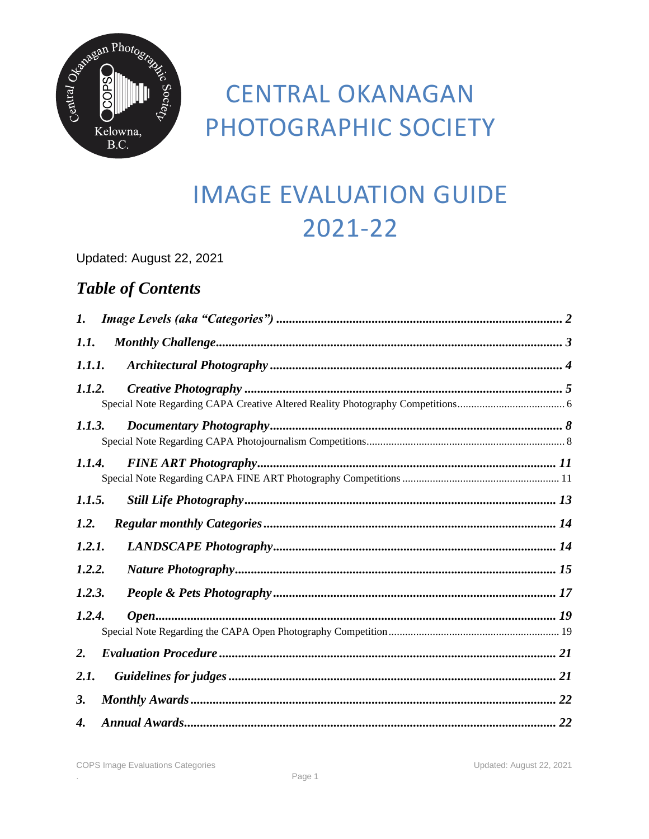

# **CENTRAL OKANAGAN** PHOTOGRAPHIC SOCIETY

# **IMAGE EVALUATION GUIDE** 2021-22

Updated: August 22, 2021

### **Table of Contents**

| 1.     |  |  |  |
|--------|--|--|--|
| 1.1.   |  |  |  |
| 1.1.1. |  |  |  |
| 1.1.2. |  |  |  |
| 1.1.3. |  |  |  |
| 1.1.4. |  |  |  |
| 1.1.5. |  |  |  |
| 1.2.   |  |  |  |
| 1.2.1. |  |  |  |
| 1.2.2. |  |  |  |
| 1.2.3. |  |  |  |
| 1.2.4. |  |  |  |
| 2.     |  |  |  |
| 2.1.   |  |  |  |
| 3.     |  |  |  |
| 4.     |  |  |  |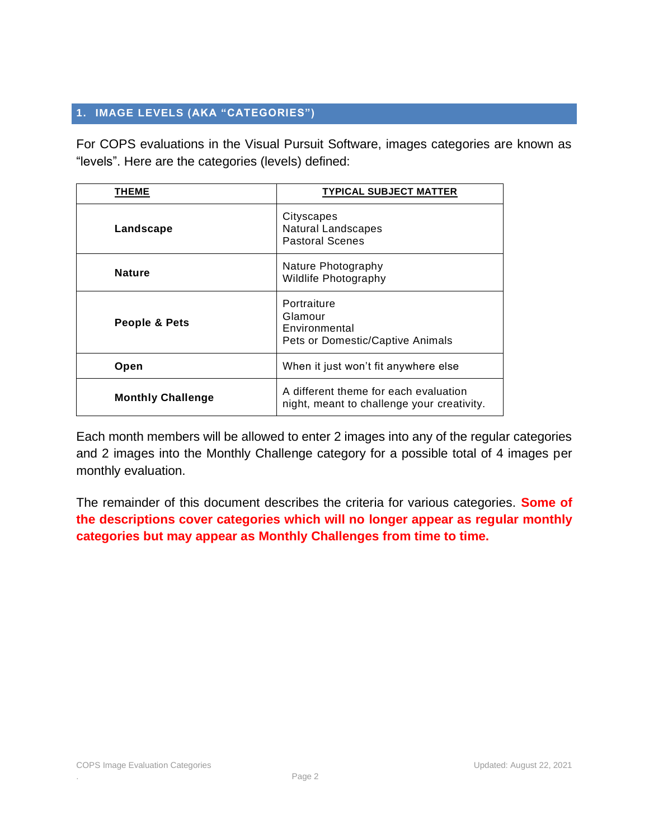#### <span id="page-1-0"></span>**1. IMAGE LEVELS (AKA "CATEGORIES")**

For COPS evaluations in the Visual Pursuit Software, images categories are known as "levels". Here are the categories (levels) defined:

| THEME                    | <b>TYPICAL SUBJECT MATTER</b>                                                       |
|--------------------------|-------------------------------------------------------------------------------------|
| Landscape                | Cityscapes<br><b>Natural Landscapes</b><br><b>Pastoral Scenes</b>                   |
| <b>Nature</b>            | Nature Photography<br>Wildlife Photography                                          |
| People & Pets            | Portraiture<br>Glamour<br>Environmental<br>Pets or Domestic/Captive Animals         |
| Open                     | When it just won't fit anywhere else                                                |
| <b>Monthly Challenge</b> | A different theme for each evaluation<br>night, meant to challenge your creativity. |

Each month members will be allowed to enter 2 images into any of the regular categories and 2 images into the Monthly Challenge category for a possible total of 4 images per monthly evaluation.

The remainder of this document describes the criteria for various categories. **Some of the descriptions cover categories which will no longer appear as regular monthly categories but may appear as Monthly Challenges from time to time.**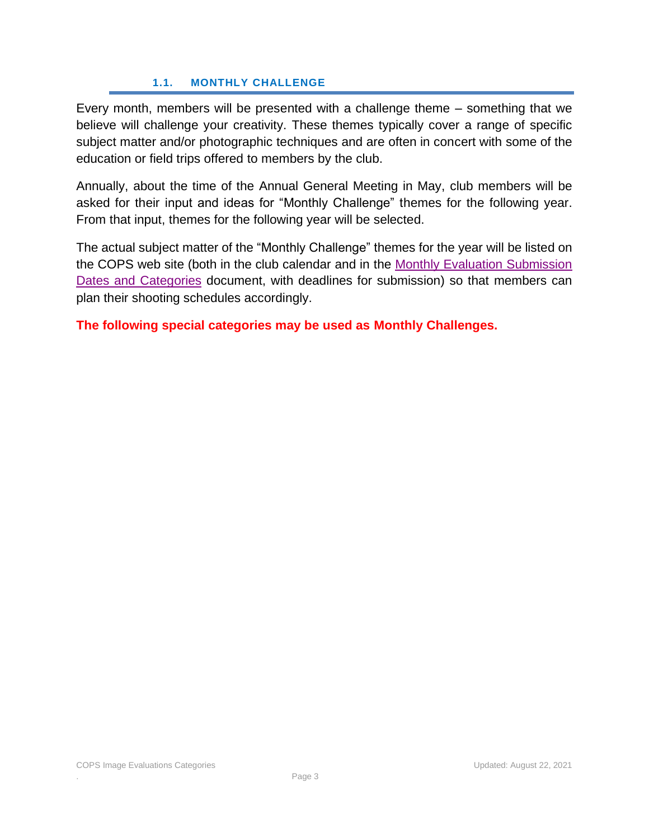### **1.1. MONTHLY CHALLENGE**

<span id="page-2-0"></span>Every month, members will be presented with a challenge theme – something that we believe will challenge your creativity. These themes typically cover a range of specific subject matter and/or photographic techniques and are often in concert with some of the education or field trips offered to members by the club.

Annually, about the time of the Annual General Meeting in May, club members will be asked for their input and ideas for "Monthly Challenge" themes for the following year. From that input, themes for the following year will be selected.

The actual subject matter of the "Monthly Challenge" themes for the year will be listed on the COPS web site (both in the club calendar and in the [Monthly Evaluation Submission](https://www.copsphotography.ca/d/37196340-c7d9-4880-bcc1-90709eb2d08b)  [Dates and Categories](https://www.copsphotography.ca/d/37196340-c7d9-4880-bcc1-90709eb2d08b) document, with deadlines for submission) so that members can plan their shooting schedules accordingly.

**The following special categories may be used as Monthly Challenges.**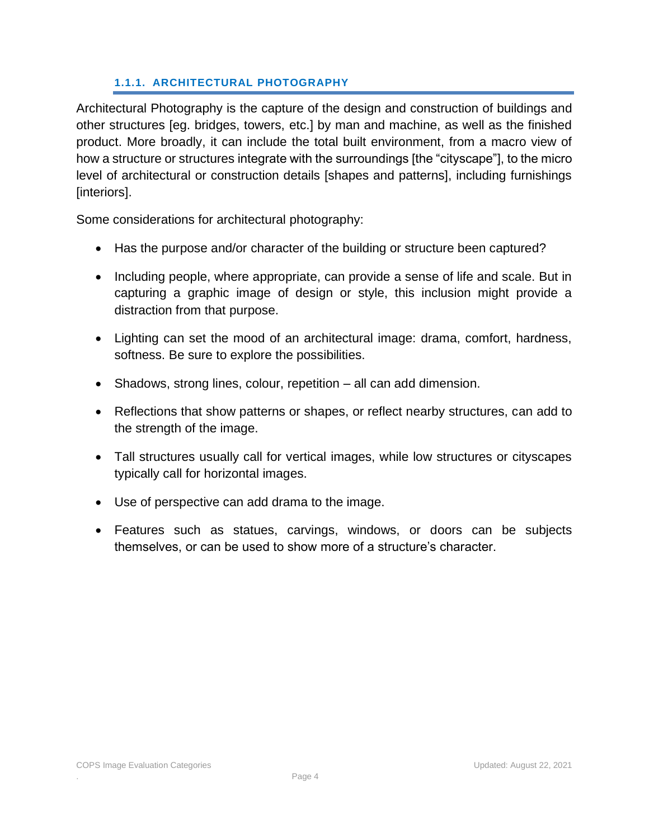### **1.1.1. ARCHITECTURAL PHOTOGRAPHY**

<span id="page-3-0"></span>Architectural Photography is the capture of the design and construction of buildings and other structures [eg. bridges, towers, etc.] by man and machine, as well as the finished product. More broadly, it can include the total built environment, from a macro view of how a structure or structures integrate with the surroundings [the "cityscape"], to the micro level of architectural or construction details [shapes and patterns], including furnishings [interiors].

Some considerations for architectural photography:

- Has the purpose and/or character of the building or structure been captured?
- Including people, where appropriate, can provide a sense of life and scale. But in capturing a graphic image of design or style, this inclusion might provide a distraction from that purpose.
- Lighting can set the mood of an architectural image: drama, comfort, hardness, softness. Be sure to explore the possibilities.
- Shadows, strong lines, colour, repetition all can add dimension.
- Reflections that show patterns or shapes, or reflect nearby structures, can add to the strength of the image.
- Tall structures usually call for vertical images, while low structures or cityscapes typically call for horizontal images.
- Use of perspective can add drama to the image.
- Features such as statues, carvings, windows, or doors can be subjects themselves, or can be used to show more of a structure's character.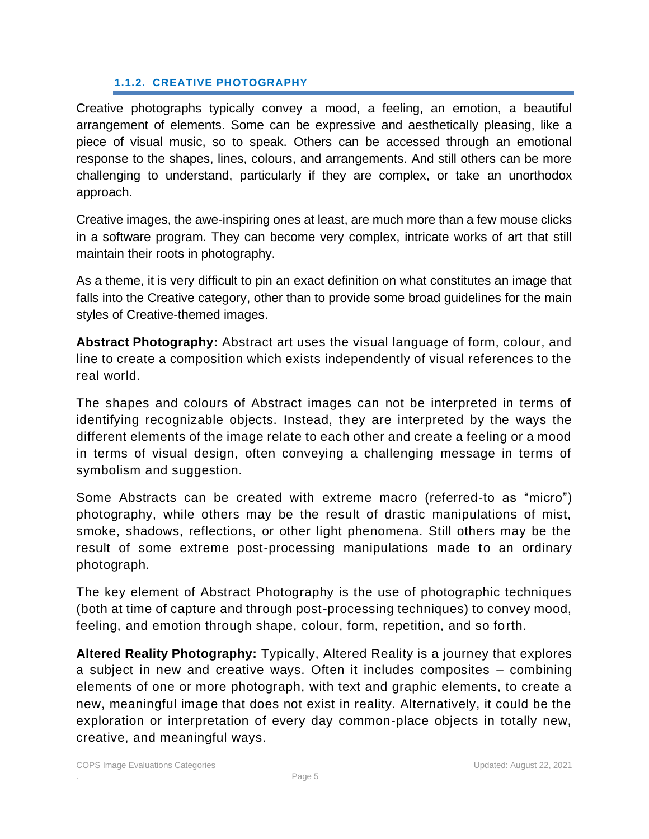### **1.1.2. CREATIVE PHOTOGRAPHY**

<span id="page-4-0"></span>Creative photographs typically convey a mood, a feeling, an emotion, a beautiful arrangement of elements. Some can be expressive and aesthetically pleasing, like a piece of visual music, so to speak. Others can be accessed through an emotional response to the shapes, lines, colours, and arrangements. And still others can be more challenging to understand, particularly if they are complex, or take an unorthodox approach.

Creative images, the awe-inspiring ones at least, are much more than a few mouse clicks in a software program. They can become very complex, intricate works of art that still maintain their roots in photography.

As a theme, it is very difficult to pin an exact definition on what constitutes an image that falls into the Creative category, other than to provide some broad guidelines for the main styles of Creative-themed images.

**Abstract Photography:** Abstract art uses the visual language of form, colour, and line to create a composition which exists independently of visual references to the real world.

The shapes and colours of Abstract images can not be interpreted in terms of identifying recognizable objects. Instead, they are interpreted by the ways the different elements of the image relate to each other and create a feeling or a mood in terms of visual design, often conveying a challenging message in terms of symbolism and suggestion.

Some Abstracts can be created with extreme macro (referred-to as "micro") photography, while others may be the result of drastic manipulations of mist, smoke, shadows, reflections, or other light phenomena. Still others may be the result of some extreme post-processing manipulations made to an ordinary photograph.

The key element of Abstract Photography is the use of photographic techniques (both at time of capture and through post-processing techniques) to convey mood, feeling, and emotion through shape, colour, form, repetition, and so forth.

**Altered Reality Photography:** Typically, Altered Reality is a journey that explores a subject in new and creative ways. Often it includes composites – combining elements of one or more photograph, with text and graphic elements, to create a new, meaningful image that does not exist in reality. Alternatively, it could be the exploration or interpretation of every day common-place objects in totally new, creative, and meaningful ways.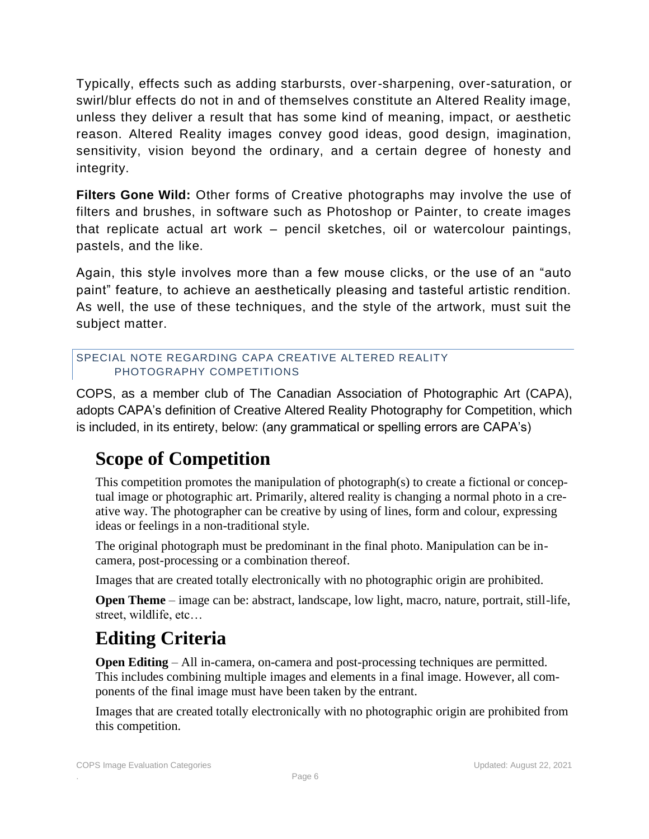Typically, effects such as adding starbursts, over-sharpening, over-saturation, or swirl/blur effects do not in and of themselves constitute an Altered Reality image, unless they deliver a result that has some kind of meaning, impact, or aesthetic reason. Altered Reality images convey good ideas, good design, imagination, sensitivity, vision beyond the ordinary, and a certain degree of honesty and integrity.

**Filters Gone Wild:** Other forms of Creative photographs may involve the use of filters and brushes, in software such as Photoshop or Painter, to create images that replicate actual art work – pencil sketches, oil or watercolour paintings, pastels, and the like.

Again, this style involves more than a few mouse clicks, or the use of an "auto paint" feature, to achieve an aesthetically pleasing and tasteful artistic rendition. As well, the use of these techniques, and the style of the artwork, must suit the subject matter.

### <span id="page-5-0"></span>SPECIAL NOTE REGARDING CAPA CREATIVE ALTERED REALITY PHOTOGRAPHY COMPETITIONS

COPS, as a member club of The Canadian Association of Photographic Art (CAPA), adopts CAPA's definition of Creative Altered Reality Photography for Competition, which is included, in its entirety, below: (any grammatical or spelling errors are CAPA's)

## **Scope of Competition**

This competition promotes the manipulation of photograph(s) to create a fictional or conceptual image or photographic art. Primarily, altered reality is changing a normal photo in a creative way. The photographer can be creative by using of lines, form and colour, expressing ideas or feelings in a non-traditional style.

The original photograph must be predominant in the final photo. Manipulation can be incamera, post-processing or a combination thereof.

Images that are created totally electronically with no photographic origin are prohibited.

**Open Theme** – image can be: abstract, landscape, low light, macro, nature, portrait, still-life, street, wildlife, etc…

# **Editing Criteria**

**Open Editing** – All in-camera, on-camera and post-processing techniques are permitted. This includes combining multiple images and elements in a final image. However, all components of the final image must have been taken by the entrant.

Images that are created totally electronically with no photographic origin are prohibited from this competition.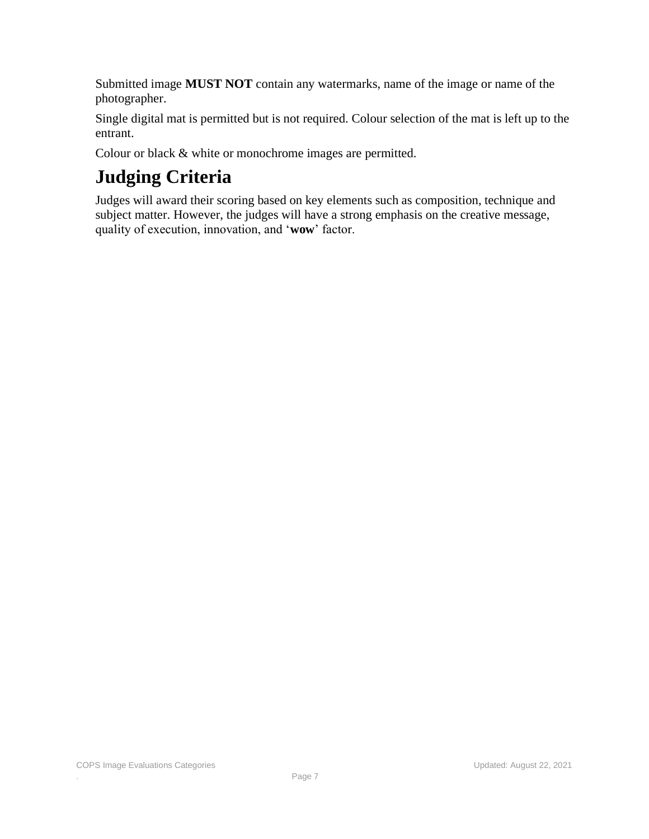Submitted image **MUST NOT** contain any watermarks, name of the image or name of the photographer.

Single digital mat is permitted but is not required. Colour selection of the mat is left up to the entrant.

Colour or black & white or monochrome images are permitted.

# **Judging Criteria**

Judges will award their scoring based on key elements such as composition, technique and subject matter. However, the judges will have a strong emphasis on the creative message, quality of execution, innovation, and '**wow**' factor.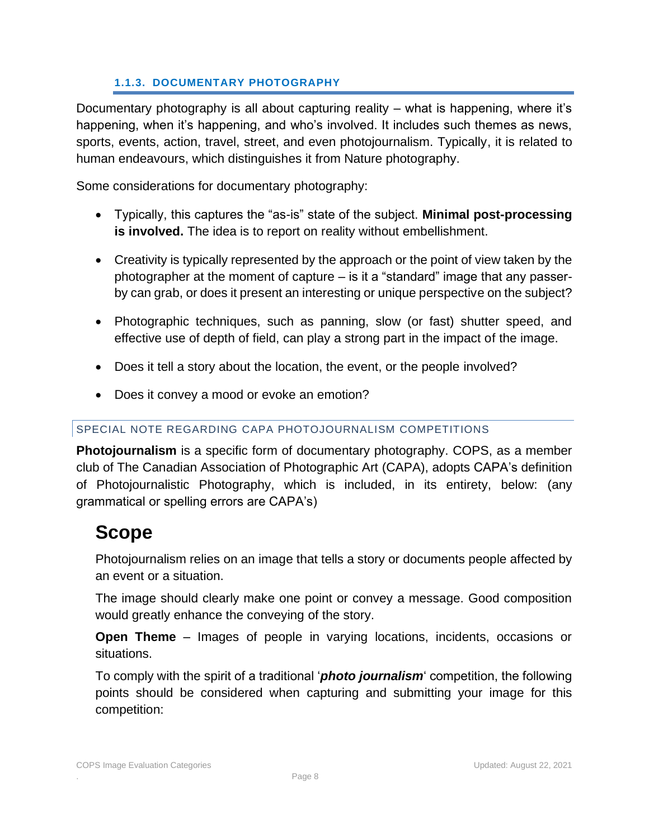### **1.1.3. DOCUMENTARY PHOTOGRAPHY**

<span id="page-7-0"></span>Documentary photography is all about capturing reality – what is happening, where it's happening, when it's happening, and who's involved. It includes such themes as news, sports, events, action, travel, street, and even photojournalism. Typically, it is related to human endeavours, which distinguishes it from Nature photography.

Some considerations for documentary photography:

- Typically, this captures the "as-is" state of the subject. **Minimal post-processing is involved.** The idea is to report on reality without embellishment.
- Creativity is typically represented by the approach or the point of view taken by the photographer at the moment of capture – is it a "standard" image that any passerby can grab, or does it present an interesting or unique perspective on the subject?
- Photographic techniques, such as panning, slow (or fast) shutter speed, and effective use of depth of field, can play a strong part in the impact of the image.
- Does it tell a story about the location, the event, or the people involved?
- Does it convey a mood or evoke an emotion?

### <span id="page-7-1"></span>SPECIAL NOTE REGARDING CAPA PHOTOJOURNALISM COMPETITIONS

**Photojournalism** is a specific form of documentary photography. COPS, as a member club of The Canadian Association of Photographic Art (CAPA), adopts CAPA's definition of Photojournalistic Photography, which is included, in its entirety, below: (any grammatical or spelling errors are CAPA's)

### **Scope**

Photojournalism relies on an image that tells a story or documents people affected by an event or a situation.

The image should clearly make one point or convey a message. Good composition would greatly enhance the conveying of the story.

**Open Theme** – Images of people in varying locations, incidents, occasions or situations.

To comply with the spirit of a traditional '*photo journalism*' competition, the following points should be considered when capturing and submitting your image for this competition: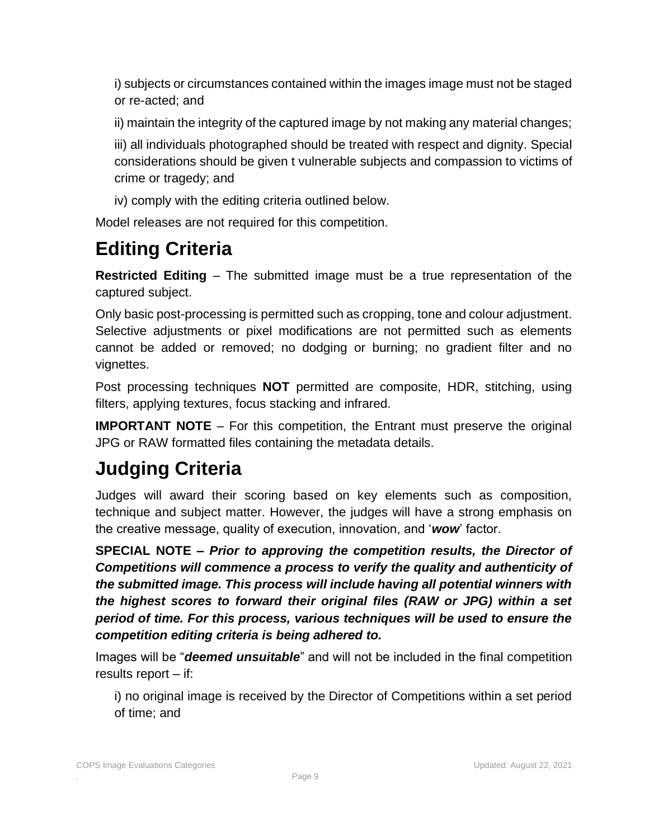i) subjects or circumstances contained within the images image must not be staged or re-acted; and

ii) maintain the integrity of the captured image by not making any material changes;

iii) all individuals photographed should be treated with respect and dignity. Special considerations should be given t vulnerable subjects and compassion to victims of crime or tragedy; and

iv) comply with the editing criteria outlined below.

Model releases are not required for this competition.

# **Editing Criteria**

**Restricted Editing** *–* The submitted image must be a true representation of the captured subject.

Only basic post-processing is permitted such as cropping, tone and colour adjustment. Selective adjustments or pixel modifications are not permitted such as elements cannot be added or removed; no dodging or burning; no gradient filter and no vignettes.

Post processing techniques **NOT** permitted are composite, HDR, stitching, using filters, applying textures, focus stacking and infrared.

**IMPORTANT NOTE** – For this competition, the Entrant must preserve the original JPG or RAW formatted files containing the metadata details.

# **Judging Criteria**

Judges will award their scoring based on key elements such as composition, technique and subject matter. However, the judges will have a strong emphasis on the creative message, quality of execution, innovation, and '*wow*' factor.

**SPECIAL NOTE –** *Prior to approving the competition results, the Director of Competitions will commence a process to verify the quality and authenticity of the submitted image. This process will include having all potential winners with the highest scores to forward their original files (RAW or JPG) within a set period of time. For this process, various techniques will be used to ensure the competition editing criteria is being adhered to.* 

Images will be "*deemed unsuitable*" and will not be included in the final competition results report – if:

i) no original image is received by the Director of Competitions within a set period of time; and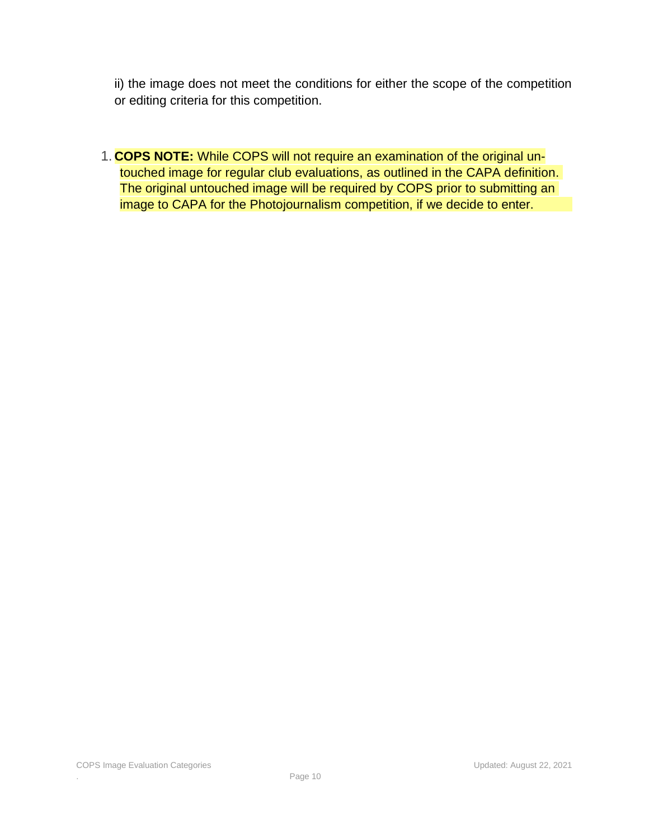ii) the image does not meet the conditions for either the scope of the competition or editing criteria for this competition.

1. **COPS NOTE:** While COPS will not require an examination of the original untouched image for regular club evaluations, as outlined in the CAPA definition. The original untouched image will be required by COPS prior to submitting an image to CAPA for the Photojournalism competition, if we decide to enter.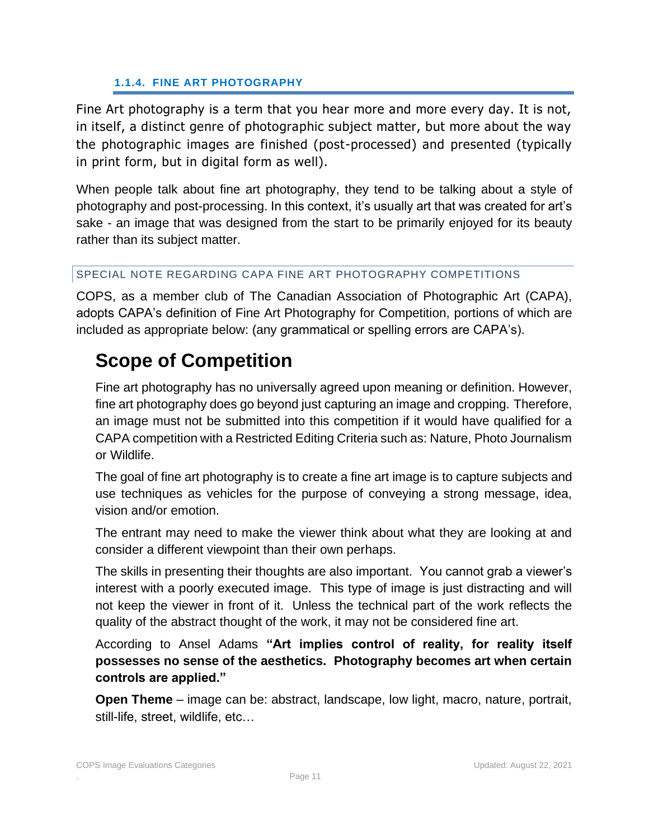### **1.1.4. FINE ART PHOTOGRAPHY**

<span id="page-10-0"></span>Fine Art photography is a term that you hear more and more every day. It is not, in itself, a distinct genre of photographic subject matter, but more about the way the photographic images are finished (post-processed) and presented (typically in print form, but in digital form as well).

When people talk about fine art photography, they tend to be talking about a style of photography and post-processing. In this context, it's usually art that was created for art's sake - an image that was designed from the start to be primarily enjoyed for its beauty rather than its subject matter.

### <span id="page-10-1"></span>SPECIAL NOTE REGARDING CAPA FINE ART PHOTOGRAPHY COMPETITIONS

COPS, as a member club of The Canadian Association of Photographic Art (CAPA), adopts CAPA's definition of Fine Art Photography for Competition, portions of which are included as appropriate below: (any grammatical or spelling errors are CAPA's).

## **Scope of Competition**

Fine art photography has no universally agreed upon meaning or definition. However, fine art photography does go beyond just capturing an image and cropping. Therefore, an image must not be submitted into this competition if it would have qualified for a CAPA competition with a Restricted Editing Criteria such as: Nature, Photo Journalism or Wildlife.

The goal of fine art photography is to create a fine art image is to capture subjects and use techniques as vehicles for the purpose of conveying a strong message, idea, vision and/or emotion.

The entrant may need to make the viewer think about what they are looking at and consider a different viewpoint than their own perhaps.

The skills in presenting their thoughts are also important. You cannot grab a viewer's interest with a poorly executed image. This type of image is just distracting and will not keep the viewer in front of it. Unless the technical part of the work reflects the quality of the abstract thought of the work, it may not be considered fine art.

According to Ansel Adams **"Art implies control of reality, for reality itself possesses no sense of the aesthetics. Photography becomes art when certain controls are applied."**

**Open Theme** – image can be: abstract, landscape, low light, macro, nature, portrait, still-life, street, wildlife, etc…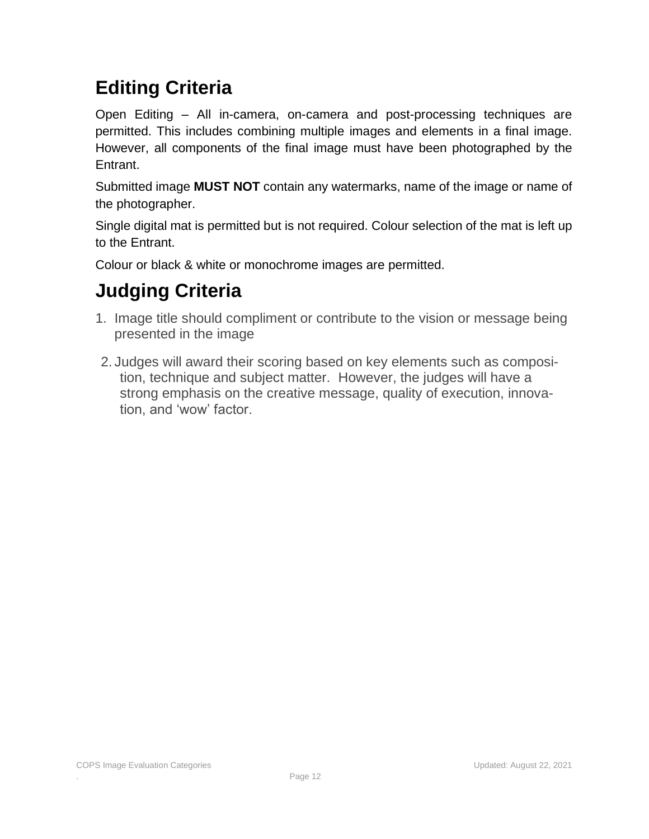# **Editing Criteria**

Open Editing – All in-camera, on-camera and post-processing techniques are permitted. This includes combining multiple images and elements in a final image. However, all components of the final image must have been photographed by the Entrant.

Submitted image **MUST NOT** contain any watermarks, name of the image or name of the photographer.

Single digital mat is permitted but is not required. Colour selection of the mat is left up to the Entrant.

Colour or black & white or monochrome images are permitted.

# **Judging Criteria**

- 1. Image title should compliment or contribute to the vision or message being presented in the image
- 2. Judges will award their scoring based on key elements such as composition, technique and subject matter. However, the judges will have a strong emphasis on the creative message, quality of execution, innovation, and 'wow' factor.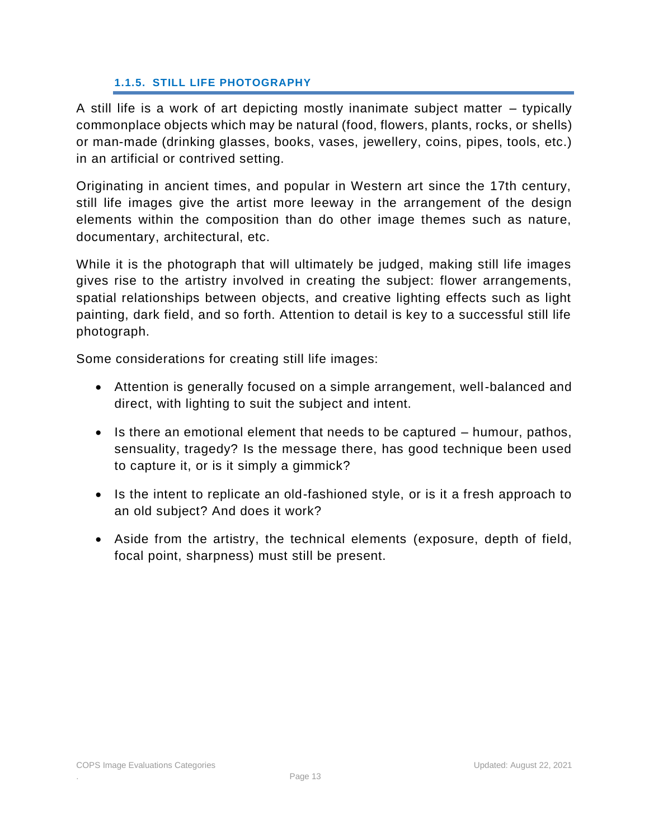#### **1.1.5. STILL LIFE PHOTOGRAPHY**

<span id="page-12-0"></span>A still life is a work of art depicting mostly inanimate subject matter – typically commonplace objects which may be natural (food, flowers, plants, rocks, or shells) or man-made (drinking glasses, books, vases, jewellery, coins, pipes, tools, etc.) in an artificial or contrived setting.

Originating in ancient times, and popular in Western art since the 17th century, still life images give the artist more leeway in the arrangement of the design elements within the composition than do other image themes such as nature, documentary, architectural, etc.

While it is the photograph that will ultimately be judged, making still life images gives rise to the artistry involved in creating the subject: flower arrangements, spatial relationships between objects, and creative lighting effects such as light painting, dark field, and so forth. Attention to detail is key to a successful still life photograph.

Some considerations for creating still life images:

- Attention is generally focused on a simple arrangement, well-balanced and direct, with lighting to suit the subject and intent.
- Is there an emotional element that needs to be captured humour, pathos, sensuality, tragedy? Is the message there, has good technique been used to capture it, or is it simply a gimmick?
- Is the intent to replicate an old-fashioned style, or is it a fresh approach to an old subject? And does it work?
- Aside from the artistry, the technical elements (exposure, depth of field, focal point, sharpness) must still be present.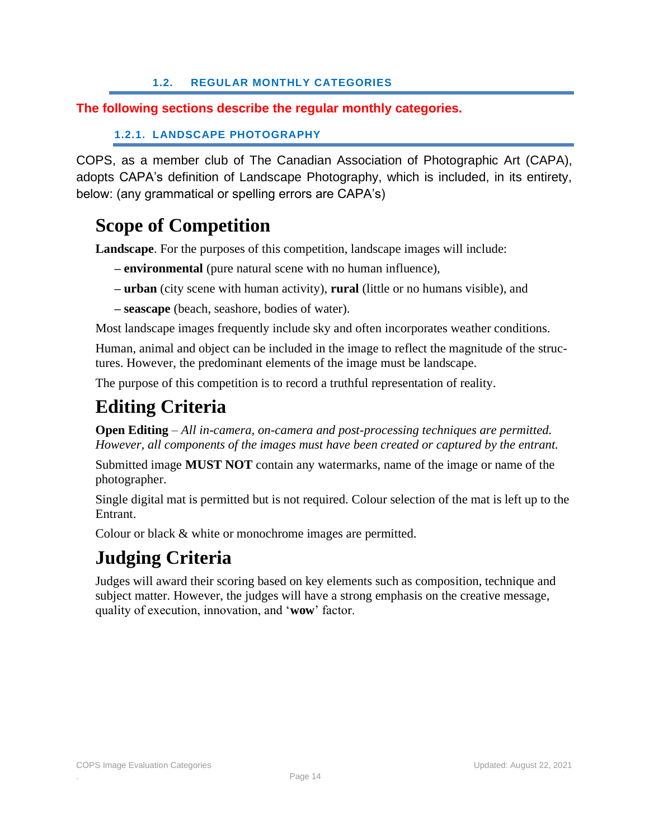### **1.2. REGULAR MONTHLY CATEGORIES**

### <span id="page-13-0"></span>**The following sections describe the regular monthly categories.**

```
1.2.1. LANDSCAPE PHOTOGRAPHY
```
<span id="page-13-1"></span>COPS, as a member club of The Canadian Association of Photographic Art (CAPA), adopts CAPA's definition of Landscape Photography, which is included, in its entirety, below: (any grammatical or spelling errors are CAPA's)

### **Scope of Competition**

**Landscape**. For the purposes of this competition, landscape images will include:

- **– environmental** (pure natural scene with no human influence),
- **– urban** (city scene with human activity), **rural** (little or no humans visible), and
- **– seascape** (beach, seashore, bodies of water).

Most landscape images frequently include sky and often incorporates weather conditions.

Human, animal and object can be included in the image to reflect the magnitude of the structures. However, the predominant elements of the image must be landscape.

The purpose of this competition is to record a truthful representation of reality.

# **Editing Criteria**

**Open Editing** *– All in-camera, on-camera and post-processing techniques are permitted. However, all components of the images must have been created or captured by the entrant.* 

Submitted image **MUST NOT** contain any watermarks, name of the image or name of the photographer.

Single digital mat is permitted but is not required. Colour selection of the mat is left up to the Entrant.

Colour or black & white or monochrome images are permitted.

# **Judging Criteria**

Judges will award their scoring based on key elements such as composition, technique and subject matter. However, the judges will have a strong emphasis on the creative message, quality of execution, innovation, and '**wow**' factor.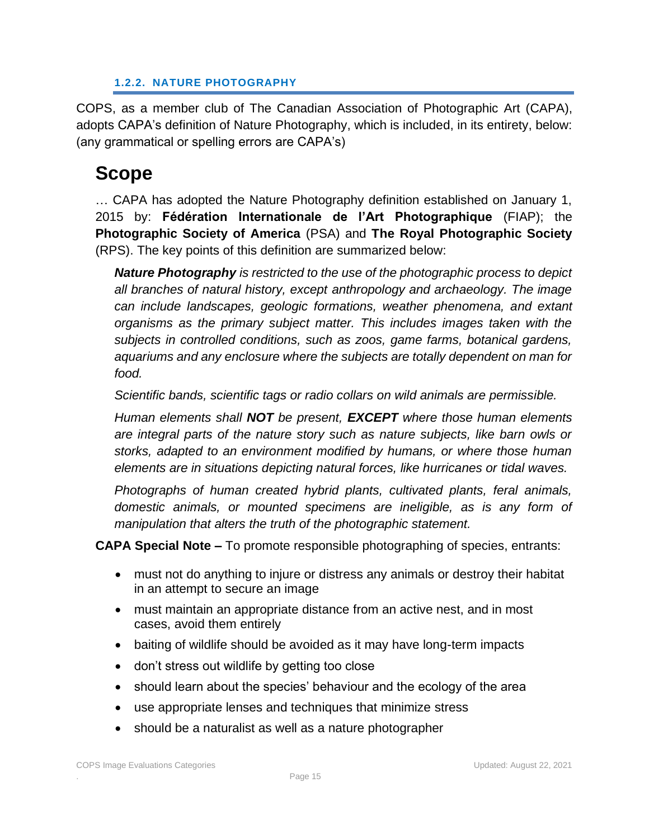#### **1.2.2. NATURE PHOTOGRAPHY**

<span id="page-14-0"></span>COPS, as a member club of The Canadian Association of Photographic Art (CAPA), adopts CAPA's definition of Nature Photography, which is included, in its entirety, below: (any grammatical or spelling errors are CAPA's)

# **Scope**

… CAPA has adopted the Nature Photography definition established on January 1, 2015 by: **Fédération Internationale de l'Art Photographique** (FIAP); the **Photographic Society of America** (PSA) and **The Royal Photographic Society** (RPS). The key points of this definition are summarized below:

*Nature Photography is restricted to the use of the photographic process to depict all branches of natural history, except anthropology and archaeology. The image can include landscapes, geologic formations, weather phenomena, and extant organisms as the primary subject matter. This includes images taken with the subjects in controlled conditions, such as zoos, game farms, botanical gardens, aquariums and any enclosure where the subjects are totally dependent on man for food.*

*Scientific bands, scientific tags or radio collars on wild animals are permissible.*

*Human elements shall NOT be present, EXCEPT where those human elements are integral parts of the nature story such as nature subjects, like barn owls or storks, adapted to an environment modified by humans, or where those human elements are in situations depicting natural forces, like hurricanes or tidal waves.* 

*Photographs of human created hybrid plants, cultivated plants, feral animals, domestic animals, or mounted specimens are ineligible, as is any form of manipulation that alters the truth of the photographic statement.* 

**CAPA Special Note –** To promote responsible photographing of species, entrants:

- must not do anything to injure or distress any animals or destroy their habitat in an attempt to secure an image
- must maintain an appropriate distance from an active nest, and in most cases, avoid them entirely
- baiting of wildlife should be avoided as it may have long-term impacts
- don't stress out wildlife by getting too close
- should learn about the species' behaviour and the ecology of the area
- use appropriate lenses and techniques that minimize stress
- should be a naturalist as well as a nature photographer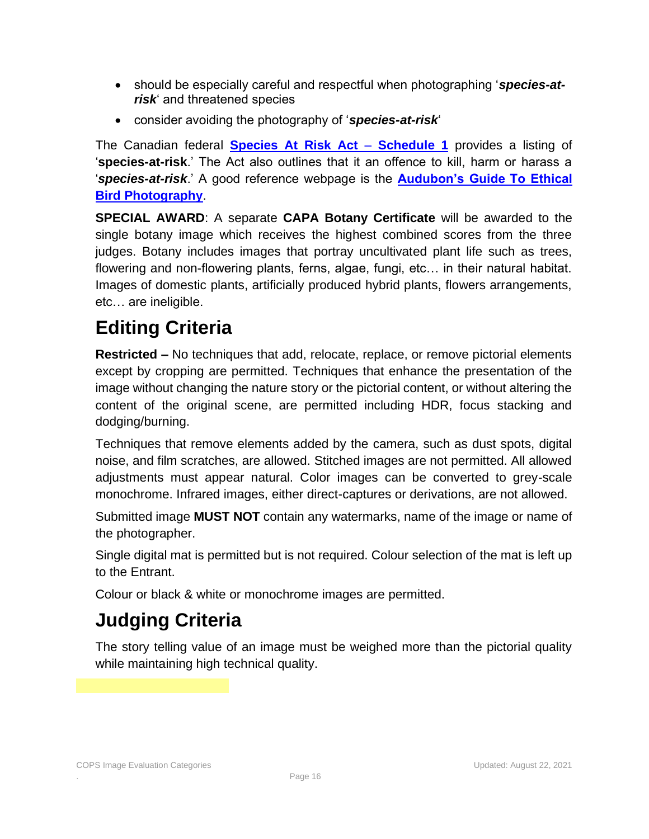- should be especially careful and respectful when photographing '*species-atrisk*' and threatened species
- consider avoiding the photography of '*species-at-risk*'

The Canadian federal **[Species At Risk Act](http://www.registrelep-sararegistry.gc.ca/species/schedules_e.cfm?id=1)** – **Schedule 1** provides a listing of '**species-at-risk**.' The Act also outlines that it an offence to kill, harm or harass a '*species-at-risk*.' A good reference webpage is the **[Audubon's Guide To Ethical](http://www.audubon.org/get-outside/audubons-guide-ethical-bird-photography)  [Bird Photography](http://www.audubon.org/get-outside/audubons-guide-ethical-bird-photography)**.

**SPECIAL AWARD**: A separate **CAPA Botany Certificate** will be awarded to the single botany image which receives the highest combined scores from the three judges. Botany includes images that portray uncultivated plant life such as trees, flowering and non-flowering plants, ferns, algae, fungi, etc… in their natural habitat. Images of domestic plants, artificially produced hybrid plants, flowers arrangements, etc… are ineligible.

# **Editing Criteria**

**Restricted –** No techniques that add, relocate, replace, or remove pictorial elements except by cropping are permitted. Techniques that enhance the presentation of the image without changing the nature story or the pictorial content, or without altering the content of the original scene, are permitted including HDR, focus stacking and dodging/burning.

Techniques that remove elements added by the camera, such as dust spots, digital noise, and film scratches, are allowed. Stitched images are not permitted. All allowed adjustments must appear natural. Color images can be converted to grey-scale monochrome. Infrared images, either direct-captures or derivations, are not allowed.

Submitted image **MUST NOT** contain any watermarks, name of the image or name of the photographer.

Single digital mat is permitted but is not required. Colour selection of the mat is left up to the Entrant.

Colour or black & white or monochrome images are permitted.

# **Judging Criteria**

The story telling value of an image must be weighed more than the pictorial quality while maintaining high technical quality.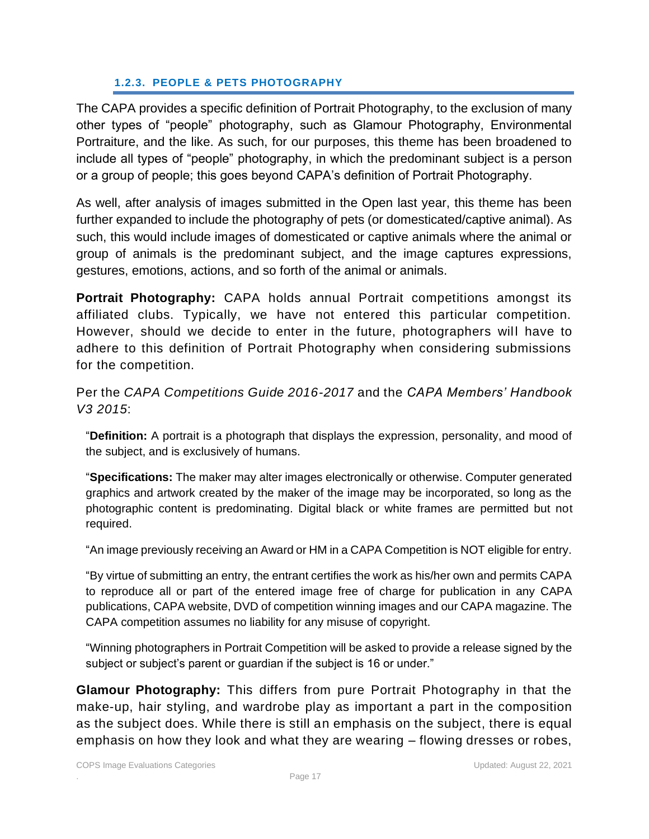#### **1.2.3. PEOPLE & PETS PHOTOGRAPHY**

<span id="page-16-0"></span>The CAPA provides a specific definition of Portrait Photography, to the exclusion of many other types of "people" photography, such as Glamour Photography, Environmental Portraiture, and the like. As such, for our purposes, this theme has been broadened to include all types of "people" photography, in which the predominant subject is a person or a group of people; this goes beyond CAPA's definition of Portrait Photography.

As well, after analysis of images submitted in the Open last year, this theme has been further expanded to include the photography of pets (or domesticated/captive animal). As such, this would include images of domesticated or captive animals where the animal or group of animals is the predominant subject, and the image captures expressions, gestures, emotions, actions, and so forth of the animal or animals.

**Portrait Photography:** CAPA holds annual Portrait competitions amongst its affiliated clubs. Typically, we have not entered this particular competition. However, should we decide to enter in the future, photographers will have to adhere to this definition of Portrait Photography when considering submissions for the competition.

Per the *CAPA Competitions Guide 2016-2017* and the *CAPA Members' Handbook V3 2015*:

"**Definition:** A portrait is a photograph that displays the expression, personality, and mood of the subject, and is exclusively of humans.

"**Specifications:** The maker may alter images electronically or otherwise. Computer generated graphics and artwork created by the maker of the image may be incorporated, so long as the photographic content is predominating. Digital black or white frames are permitted but not required.

"An image previously receiving an Award or HM in a CAPA Competition is NOT eligible for entry.

"By virtue of submitting an entry, the entrant certifies the work as his/her own and permits CAPA to reproduce all or part of the entered image free of charge for publication in any CAPA publications, CAPA website, DVD of competition winning images and our CAPA magazine. The CAPA competition assumes no liability for any misuse of copyright.

"Winning photographers in Portrait Competition will be asked to provide a release signed by the subject or subject's parent or guardian if the subject is 16 or under."

**Glamour Photography:** This differs from pure Portrait Photography in that the make-up, hair styling, and wardrobe play as important a part in the composition as the subject does. While there is still an emphasis on the subject, there is equal emphasis on how they look and what they are wearing – flowing dresses or robes,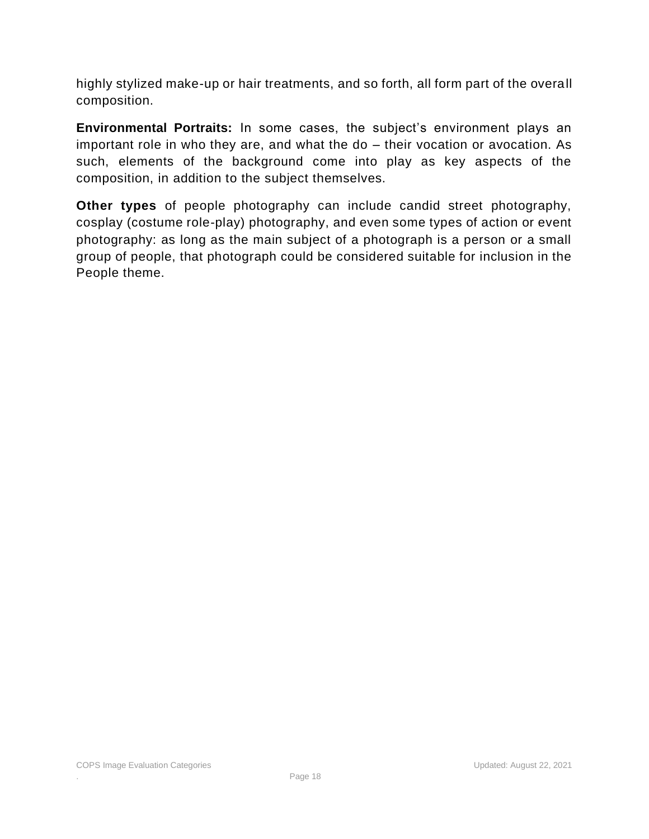highly stylized make-up or hair treatments, and so forth, all form part of the overall composition.

**Environmental Portraits:** In some cases, the subject's environment plays an important role in who they are, and what the do – their vocation or avocation. As such, elements of the background come into play as key aspects of the composition, in addition to the subject themselves.

**Other types** of people photography can include candid street photography, cosplay (costume role-play) photography, and even some types of action or event photography: as long as the main subject of a photograph is a person or a small group of people, that photograph could be considered suitable for inclusion in the People theme.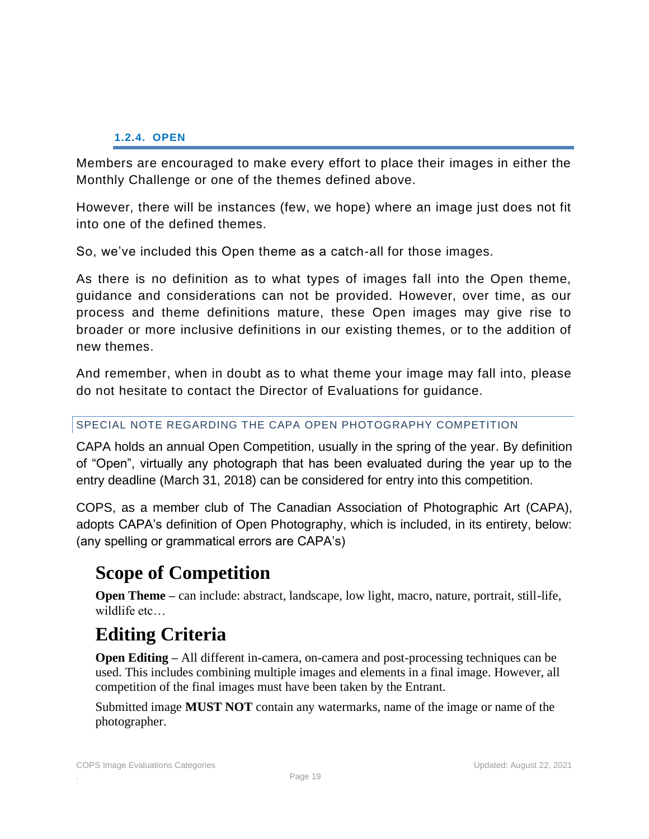#### **1.2.4. OPEN**

<span id="page-18-0"></span>Members are encouraged to make every effort to place their images in either the Monthly Challenge or one of the themes defined above.

However, there will be instances (few, we hope) where an image just does not fit into one of the defined themes.

So, we've included this Open theme as a catch-all for those images.

As there is no definition as to what types of images fall into the Open theme, guidance and considerations can not be provided. However, over time, as our process and theme definitions mature, these Open images may give rise to broader or more inclusive definitions in our existing themes, or to the addition of new themes.

And remember, when in doubt as to what theme your image may fall into, please do not hesitate to contact the Director of Evaluations for guidance.

#### <span id="page-18-1"></span>SPECIAL NOTE REGARDING THE CAPA OPEN PHOTOGRAPHY COMPETITION

CAPA holds an annual Open Competition, usually in the spring of the year. By definition of "Open", virtually any photograph that has been evaluated during the year up to the entry deadline (March 31, 2018) can be considered for entry into this competition.

COPS, as a member club of The Canadian Association of Photographic Art (CAPA), adopts CAPA's definition of Open Photography, which is included, in its entirety, below: (any spelling or grammatical errors are CAPA's)

### **Scope of Competition**

**Open Theme** – can include: abstract, landscape, low light, macro, nature, portrait, still-life, wildlife etc…

### **Editing Criteria**

**Open Editing –** All different in-camera, on-camera and post-processing techniques can be used. This includes combining multiple images and elements in a final image. However, all competition of the final images must have been taken by the Entrant.

Submitted image **MUST NOT** contain any watermarks, name of the image or name of the photographer.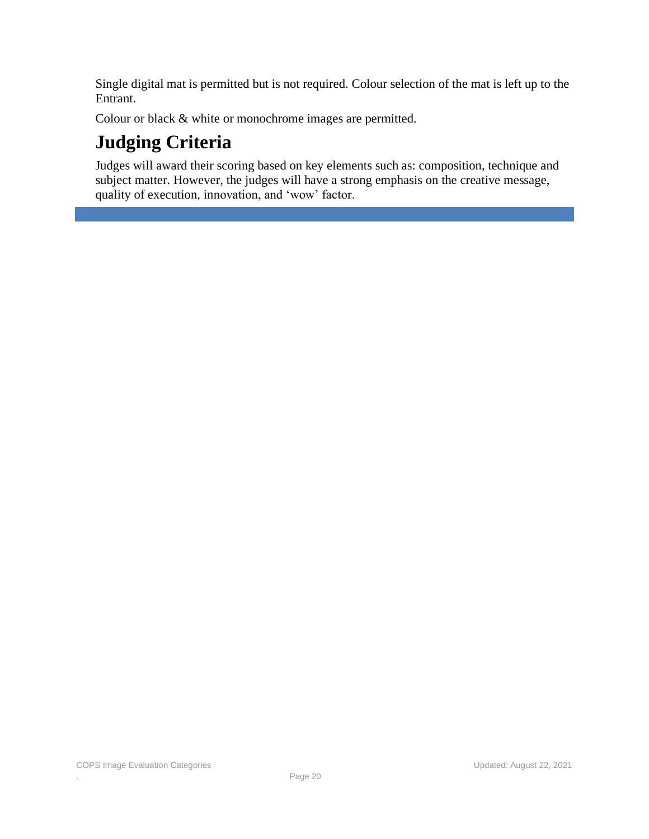Single digital mat is permitted but is not required. Colour selection of the mat is left up to the Entrant.

Colour or black & white or monochrome images are permitted.

# **Judging Criteria**

Judges will award their scoring based on key elements such as: composition, technique and subject matter. However, the judges will have a strong emphasis on the creative message, quality of execution, innovation, and 'wow' factor.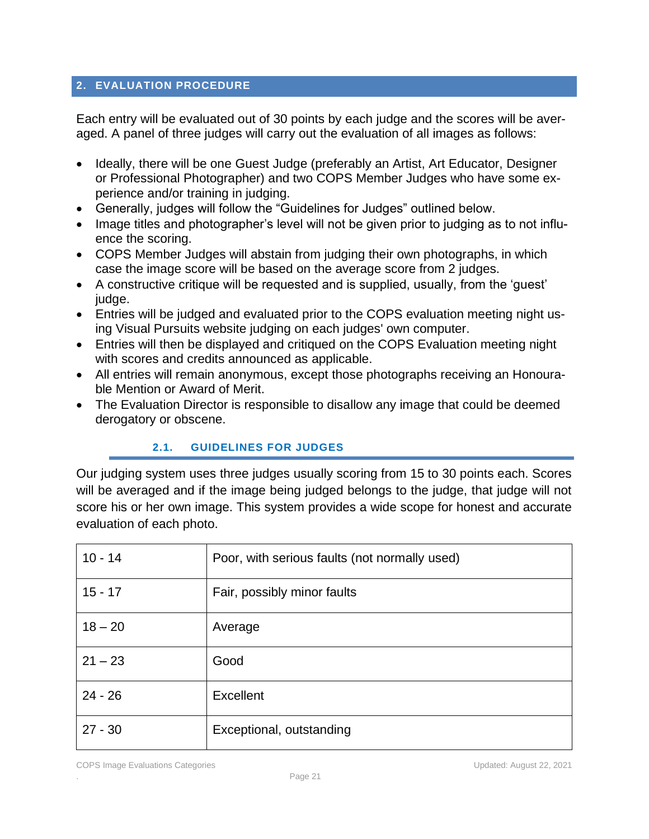### <span id="page-20-0"></span>**2. EVALUATION PROCEDURE**

Each entry will be evaluated out of 30 points by each judge and the scores will be averaged. A panel of three judges will carry out the evaluation of all images as follows:

- Ideally, there will be one Guest Judge (preferably an Artist, Art Educator, Designer or Professional Photographer) and two COPS Member Judges who have some experience and/or training in judging.
- Generally, judges will follow the "Guidelines for Judges" outlined below.
- Image titles and photographer's level will not be given prior to judging as to not influence the scoring.
- COPS Member Judges will abstain from judging their own photographs, in which case the image score will be based on the average score from 2 judges.
- A constructive critique will be requested and is supplied, usually, from the 'guest' judge.
- Entries will be judged and evaluated prior to the COPS evaluation meeting night using Visual Pursuits website judging on each judges' own computer.
- Entries will then be displayed and critiqued on the COPS Evaluation meeting night with scores and credits announced as applicable.
- All entries will remain anonymous, except those photographs receiving an Honourable Mention or Award of Merit.
- The Evaluation Director is responsible to disallow any image that could be deemed derogatory or obscene.

### **2.1. GUIDELINES FOR JUDGES**

<span id="page-20-1"></span>Our judging system uses three judges usually scoring from 15 to 30 points each. Scores will be averaged and if the image being judged belongs to the judge, that judge will not score his or her own image. This system provides a wide scope for honest and accurate evaluation of each photo.

| $10 - 14$ | Poor, with serious faults (not normally used) |
|-----------|-----------------------------------------------|
| $15 - 17$ | Fair, possibly minor faults                   |
| $18 - 20$ | Average                                       |
| $21 - 23$ | Good                                          |
| $24 - 26$ | Excellent                                     |
| $27 - 30$ | Exceptional, outstanding                      |

COPS Image Evaluations Categories Updated: August 22, 2021